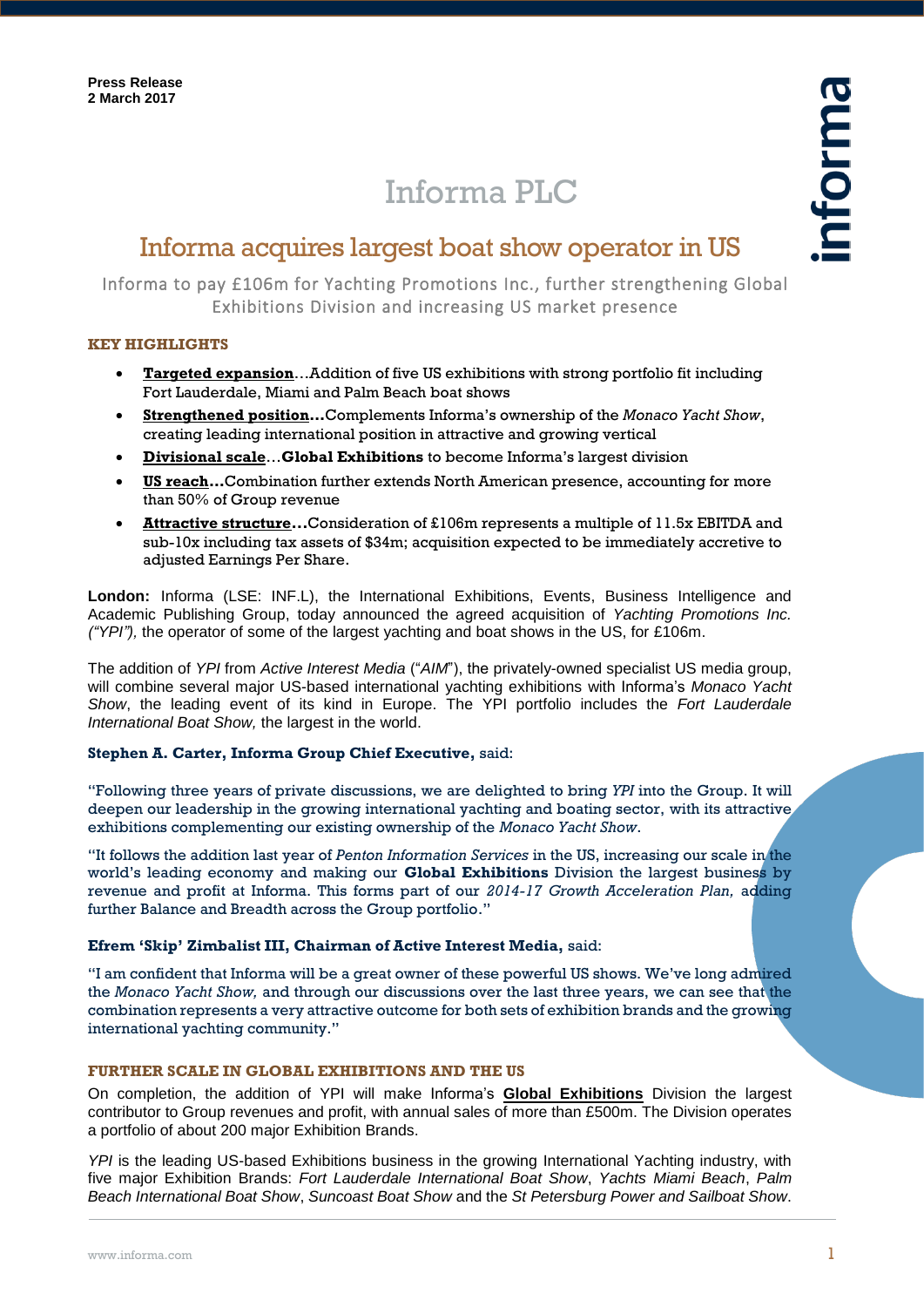# Informa PLC

# Informa acquires largest boat show operator in US

Informa to pay £106m for Yachting Promotions Inc., further strengthening Global Exhibitions Division and increasing US market presence

## **KEY HIGHLIGHTS**

- **Targeted expansion**…Addition of five US exhibitions with strong portfolio fit including Fort Lauderdale, Miami and Palm Beach boat shows
- **Strengthened position…**Complements Informa's ownership of the *Monaco Yacht Show*, creating leading international position in attractive and growing vertical
- **Divisional scale**…**Global Exhibitions** to become Informa's largest division
- **US reach…**Combination further extends North American presence, accounting for more than 50% of Group revenue
- **Attractive structure...**Consideration of £106m represents a multiple of 11.5x EBITDA and sub-10x including tax assets of \$34m; acquisition expected to be immediately accretive to adjusted Earnings Per Share.

**London:** Informa (LSE: INF.L), the International Exhibitions, Events, Business Intelligence and Academic Publishing Group, today announced the agreed acquisition of *Yachting Promotions Inc. ("YPI"),* the operator of some of the largest yachting and boat shows in the US, for £106m.

The addition of *YPI* from *Active Interest Media* ("*AIM*"), the privately-owned specialist US media group, will combine several major US-based international yachting exhibitions with Informa's *Monaco Yacht Show*, the leading event of its kind in Europe. The YPI portfolio includes the *Fort Lauderdale International Boat Show,* the largest in the world.

## **Stephen A. Carter, Informa Group Chief Executive,** said:

"Following three years of private discussions, we are delighted to bring *YPI* into the Group. It will deepen our leadership in the growing international yachting and boating sector, with its attractive exhibitions complementing our existing ownership of the *Monaco Yacht Show*.

"It follows the addition last year of *Penton Information Services* in the US, increasing our scale in the world's leading economy and making our **Global Exhibitions** Division the largest business by revenue and profit at Informa. This forms part of our *2014-17 Growth Acceleration Plan,* adding further Balance and Breadth across the Group portfolio."

# **Efrem 'Skip' Zimbalist III, Chairman of Active Interest Media,** said:

"I am confident that Informa will be a great owner of these powerful US shows. We've long admired the *Monaco Yacht Show,* and through our discussions over the last three years, we can see that the combination represents a very attractive outcome for both sets of exhibition brands and the growing international yachting community."

# **FURTHER SCALE IN GLOBAL EXHIBITIONS AND THE US**

On completion, the addition of YPI will make Informa's **Global Exhibitions** Division the largest contributor to Group revenues and profit, with annual sales of more than £500m. The Division operates a portfolio of about 200 major Exhibition Brands.

*YPI* is the leading US-based Exhibitions business in the growing International Yachting industry, with five major Exhibition Brands: *Fort Lauderdale International Boat Show*, *Yachts Miami Beach*, *Palm Beach International Boat Show*, *Suncoast Boat Show* and the *St Petersburg Power and Sailboat Show*.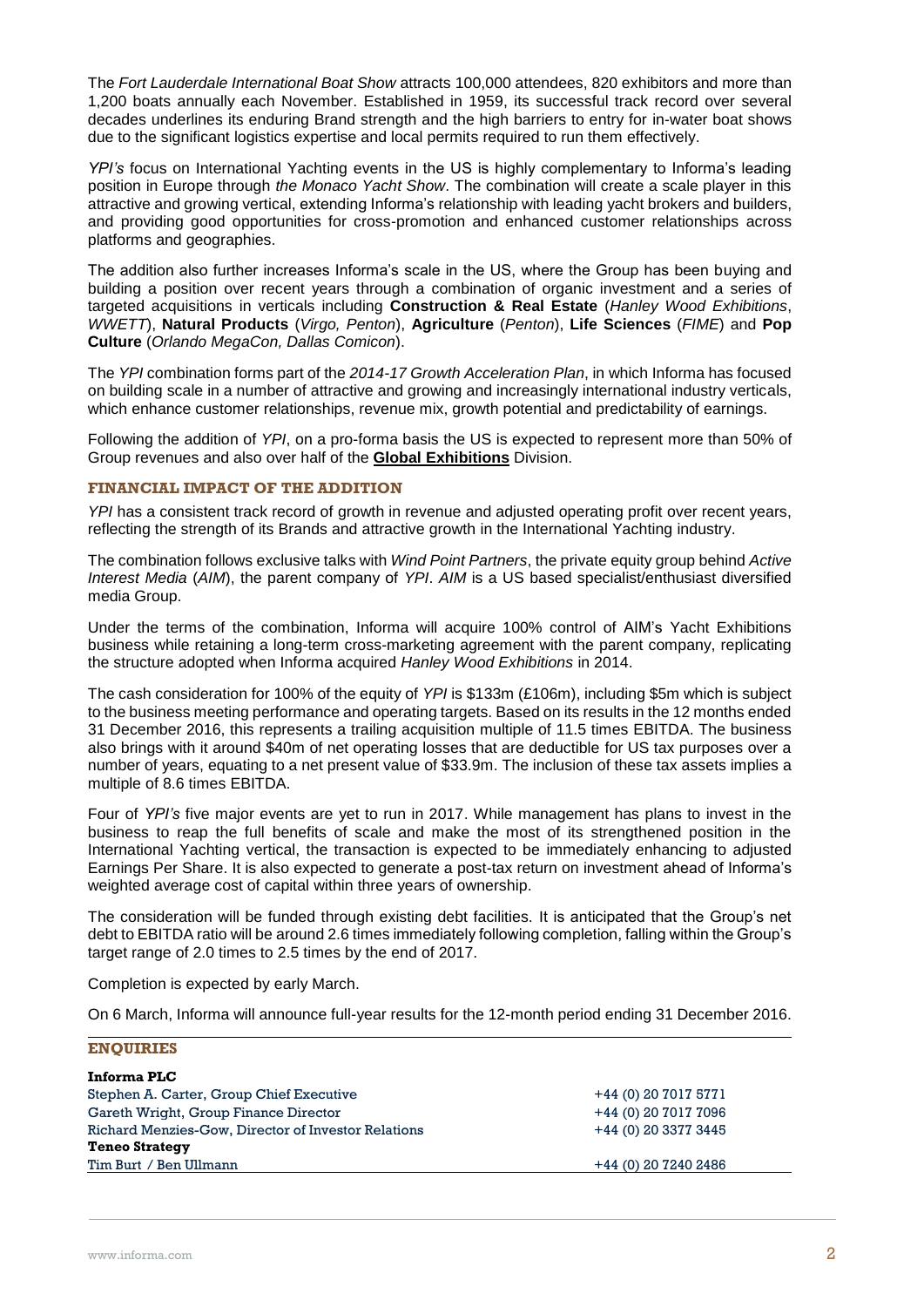The *Fort Lauderdale International Boat Show* attracts 100,000 attendees, 820 exhibitors and more than 1,200 boats annually each November. Established in 1959, its successful track record over several decades underlines its enduring Brand strength and the high barriers to entry for in-water boat shows due to the significant logistics expertise and local permits required to run them effectively.

*YPI's* focus on International Yachting events in the US is highly complementary to Informa's leading position in Europe through *the Monaco Yacht Show*. The combination will create a scale player in this attractive and growing vertical, extending Informa's relationship with leading yacht brokers and builders, and providing good opportunities for cross-promotion and enhanced customer relationships across platforms and geographies.

The addition also further increases Informa's scale in the US, where the Group has been buying and building a position over recent years through a combination of organic investment and a series of targeted acquisitions in verticals including **Construction & Real Estate** (*Hanley Wood Exhibitions*, *WWETT*), **Natural Products** (*Virgo, Penton*), **Agriculture** (*Penton*), **Life Sciences** (*FIME*) and **Pop Culture** (*Orlando MegaCon, Dallas Comicon*).

The *YPI* combination forms part of the *2014-17 Growth Acceleration Plan*, in which Informa has focused on building scale in a number of attractive and growing and increasingly international industry verticals, which enhance customer relationships, revenue mix, growth potential and predictability of earnings.

Following the addition of *YPI*, on a pro-forma basis the US is expected to represent more than 50% of Group revenues and also over half of the **Global Exhibitions** Division.

## **FINANCIAL IMPACT OF THE ADDITION**

*YPI* has a consistent track record of growth in revenue and adjusted operating profit over recent years, reflecting the strength of its Brands and attractive growth in the International Yachting industry.

The combination follows exclusive talks with *Wind Point Partners*, the private equity group behind *Active Interest Media* (*AIM*), the parent company of *YPI*. *AIM* is a US based specialist/enthusiast diversified media Group.

Under the terms of the combination, Informa will acquire 100% control of AIM's Yacht Exhibitions business while retaining a long-term cross-marketing agreement with the parent company, replicating the structure adopted when Informa acquired *Hanley Wood Exhibitions* in 2014.

The cash consideration for 100% of the equity of *YPI* is \$133m (£106m), including \$5m which is subject to the business meeting performance and operating targets. Based on its results in the 12 months ended 31 December 2016, this represents a trailing acquisition multiple of 11.5 times EBITDA. The business also brings with it around \$40m of net operating losses that are deductible for US tax purposes over a number of years, equating to a net present value of \$33.9m. The inclusion of these tax assets implies a multiple of 8.6 times EBITDA.

Four of *YPI's* five major events are yet to run in 2017. While management has plans to invest in the business to reap the full benefits of scale and make the most of its strengthened position in the International Yachting vertical, the transaction is expected to be immediately enhancing to adjusted Earnings Per Share. It is also expected to generate a post-tax return on investment ahead of Informa's weighted average cost of capital within three years of ownership.

The consideration will be funded through existing debt facilities. It is anticipated that the Group's net debt to EBITDA ratio will be around 2.6 times immediately following completion, falling within the Group's target range of 2.0 times to 2.5 times by the end of 2017.

Completion is expected by early March.

On 6 March, Informa will announce full-year results for the 12-month period ending 31 December 2016.

| <b>ENOUIRIES</b>                                    |                      |
|-----------------------------------------------------|----------------------|
| Informa PLC                                         |                      |
| Stephen A. Carter, Group Chief Executive            | +44 (0) 20 7017 5771 |
| Gareth Wright, Group Finance Director               | +44 (0) 20 7017 7096 |
| Richard Menzies-Gow, Director of Investor Relations | +44 (0) 20 3377 3445 |
| <b>Teneo Strategy</b>                               |                      |
| Tim Burt / Ben Ullmann                              | +44 (0) 20 7240 2486 |